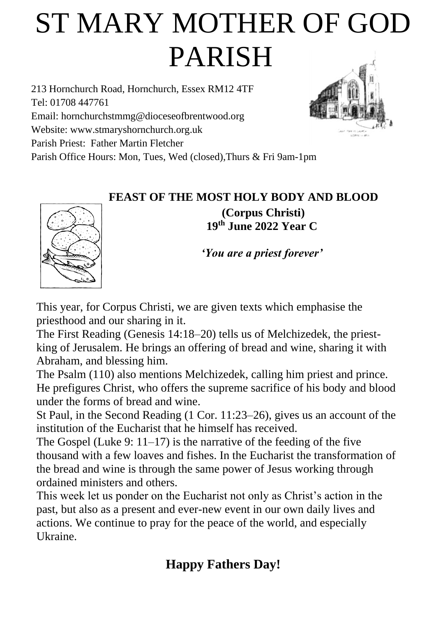# ST MARY MOTHER OF GOD PARISH

213 Hornchurch Road, Hornchurch, Essex RM12 4TF Tel: 01708 447761 Email: [hornchurchstmmg@dioceseofbrentwood.org](mailto:hornchurchstmmg@dioceseofbrentwood.org) Website: [www.stmaryshornchurch.org.uk](http://www.stmaryshornchurch.org.uk/) Parish Priest: Father Martin Fletcher Parish Office Hours: Mon, Tues, Wed (closed),Thurs & Fri 9am-1pm



**FEAST OF THE MOST HOLY BODY AND BLOOD (Corpus Christi) 19th June 2022 Year C**

*'You are a priest forever'*

This year, for Corpus Christi, we are given texts which emphasise the priesthood and our sharing in it.

The First Reading (Genesis 14:18–20) tells us of Melchizedek, the priestking of Jerusalem. He brings an offering of bread and wine, sharing it with Abraham, and blessing him.

The Psalm (110) also mentions Melchizedek, calling him priest and prince. He prefigures Christ, who offers the supreme sacrifice of his body and blood under the forms of bread and wine.

St Paul, in the Second Reading (1 Cor. 11:23–26), gives us an account of the institution of the Eucharist that he himself has received.

The Gospel (Luke 9:  $11-17$ ) is the narrative of the feeding of the five thousand with a few loaves and fishes. In the Eucharist the transformation of the bread and wine is through the same power of Jesus working through ordained ministers and others.

This week let us ponder on the Eucharist not only as Christ's action in the past, but also as a present and ever-new event in our own daily lives and actions. We continue to pray for the peace of the world, and especially Ukraine.

### **Happy Fathers Day!**

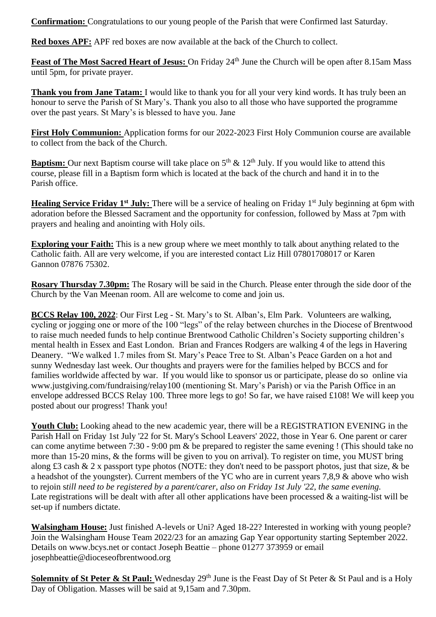**Confirmation:** Congratulations to our young people of the Parish that were Confirmed last Saturday.

**Red boxes APF:** APF red boxes are now available at the back of the Church to collect.

**Feast of The Most Sacred Heart of Jesus:** On Friday 24<sup>th</sup> June the Church will be open after 8.15am Mass until 5pm, for private prayer.

**Thank you from Jane Tatam:** I would like to thank you for all your very kind words. It has truly been an honour to serve the Parish of St Mary's. Thank you also to all those who have supported the programme over the past years. St Mary's is blessed to have you. Jane

**First Holy Communion:** Application forms for our 2022-2023 First Holy Communion course are available to collect from the back of the Church.

**Baptism:** Our next Baptism course will take place on 5<sup>th</sup> & 12<sup>th</sup> July. If you would like to attend this course, please fill in a Baptism form which is located at the back of the church and hand it in to the Parish office.

**Healing Service Friday 1st July:** There will be a service of healing on Friday 1st July beginning at 6pm with adoration before the Blessed Sacrament and the opportunity for confession, followed by Mass at 7pm with prayers and healing and anointing with Holy oils.

**Exploring your Faith:** This is a new group where we meet monthly to talk about anything related to the Catholic faith. All are very welcome, if you are interested contact Liz Hill 07801708017 or Karen Gannon 07876 75302.

**Rosary Thursday 7.30pm:** The Rosary will be said in the Church. Please enter through the side door of the Church by the Van Meenan room. All are welcome to come and join us.

**BCCS Relay 100, 2022**: Our First Leg - St. Mary's to St. Alban's, Elm Park. Volunteers are walking, cycling or jogging one or more of the 100 "legs" of the relay between churches in the Diocese of Brentwood to raise much needed funds to help continue Brentwood Catholic Children's Society supporting children's mental health in Essex and East London. Brian and Frances Rodgers are walking 4 of the legs in Havering Deanery. "We walked 1.7 miles from St. Mary's Peace Tree to St. Alban's Peace Garden on a hot and sunny Wednesday last week. Our thoughts and prayers were for the families helped by BCCS and for families worldwide affected by war. If you would like to sponsor us or participate, please do so online via [www.justgiving.com/fundraising/relay100](http://www.justgiving.com/fundraising/relay100) (mentioning St. Mary's Parish) or via the Parish Office in an envelope addressed BCCS Relay 100. Three more legs to go! So far, we have raised £108! We will keep you posted about our progress! Thank you!

**Youth Club:** Looking ahead to the new academic year, there will be a REGISTRATION EVENING in the Parish Hall on Friday 1st July '22 for St. Mary's School Leavers' 2022, those in Year 6. One parent or carer can come anytime between 7:30 - 9:00 pm & be prepared to register the same evening ! (This should take no more than 15-20 mins, & the forms will be given to you on arrival). To register on time, you MUST bring along £3 cash & 2 x passport type photos (NOTE: they don't need to be passport photos, just that size, & be a headshot of the youngster). Current members of the YC who are in current years 7,8,9 & above who wish to rejoin s*till need to be registered by a parent/carer, also on Friday 1st July '22, the same evening.* Late registrations will be dealt with after all other applications have been processed  $\&$  a waiting-list will be set-up if numbers dictate.

**Walsingham House:** Just finished A-levels or Uni? Aged 18-22? Interested in working with young people? Join the Walsingham House Team 2022/23 for an amazing Gap Year opportunity starting September 2022. Details on [www.bcys.net](http://www.bcys.net/) or contact Joseph Beattie – phone 01277 373959 or email [josephbeattie@dioceseofbrentwood.org](mailto:josephbeattie@dioceseofbrentwood.org)

**Solemnity of St Peter & St Paul:** Wednesday 29<sup>th</sup> June is the Feast Day of St Peter & St Paul and is a Holy Day of Obligation. Masses will be said at 9,15am and 7.30pm.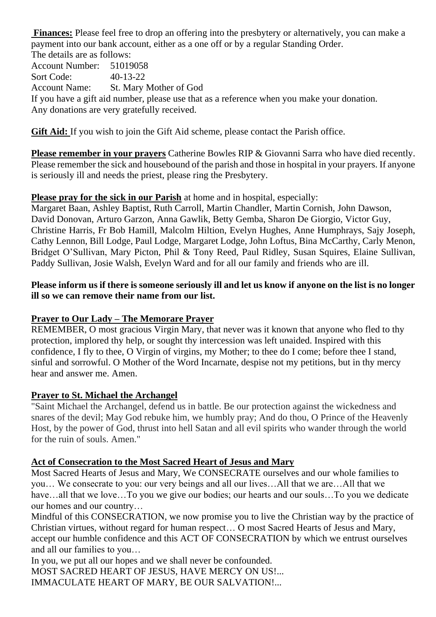**Finances:** Please feel free to drop an offering into the presbytery or alternatively, you can make a payment into our bank account, either as a one off or by a regular Standing Order.

The details are as follows: Account Number: 51019058 Sort Code: 40-13-22 Account Name: St. Mary Mother of God If you have a gift aid number, please use that as a reference when you make your donation. Any donations are very gratefully received.

**Gift Aid:** If you wish to join the Gift Aid scheme, please contact the Parish office.

**Please remember in your prayers** Catherine Bowles RIP & Giovanni Sarra who have died recently. Please remember the sick and housebound of the parish and those in hospital in your prayers. If anyone is seriously ill and needs the priest, please ring the Presbytery.

#### **Please pray for the sick in our Parish** at home and in hospital, especially:

Margaret Baan, Ashley Baptist, Ruth Carroll, Martin Chandler, Martin Cornish, John Dawson, David Donovan, Arturo Garzon, Anna Gawlik, Betty Gemba, Sharon De Giorgio, Victor Guy, Christine Harris, Fr Bob Hamill, Malcolm Hiltion, Evelyn Hughes, Anne Humphrays, Sajy Joseph, Cathy Lennon, Bill Lodge, Paul Lodge, Margaret Lodge, John Loftus, Bina McCarthy, Carly Menon, Bridget O'Sullivan, Mary Picton, Phil & Tony Reed, Paul Ridley, Susan Squires, Elaine Sullivan, Paddy Sullivan, Josie Walsh, Evelyn Ward and for all our family and friends who are ill.

#### **Please inform us if there is someone seriously ill and let us know if anyone on the list is no longer ill so we can remove their name from our list.**

#### **Prayer to Our Lady – The Memorare Prayer**

REMEMBER, O most gracious Virgin Mary, that never was it known that anyone who fled to thy protection, implored thy help, or sought thy intercession was left unaided. Inspired with this confidence, I fly to thee, O Virgin of virgins, my Mother; to thee do I come; before thee I stand, sinful and sorrowful. O Mother of the Word Incarnate, despise not my petitions, but in thy mercy hear and answer me. Amen.

#### **Prayer to St. Michael the Archangel**

"Saint Michael the Archangel, defend us in battle. Be our protection against the wickedness and snares of the devil; May God rebuke him, we humbly pray; And do thou, O Prince of the Heavenly Host, by the power of God, thrust into hell Satan and all evil spirits who wander through the world for the ruin of souls. Amen."

#### **Act of Consecration to the Most Sacred Heart of Jesus and Mary**

Most Sacred Hearts of Jesus and Mary, We CONSECRATE ourselves and our whole families to you… We consecrate to you: our very beings and all our lives…All that we are…All that we have…all that we love…To you we give our bodies; our hearts and our souls…To you we dedicate our homes and our country…

Mindful of this CONSECRATION, we now promise you to live the Christian way by the practice of Christian virtues, without regard for human respect… O most Sacred Hearts of Jesus and Mary, accept our humble confidence and this ACT OF CONSECRATION by which we entrust ourselves and all our families to you…

In you, we put all our hopes and we shall never be confounded. MOST SACRED HEART OF JESUS, HAVE MERCY ON US!... IMMACULATE HEART OF MARY, BE OUR SALVATION!...